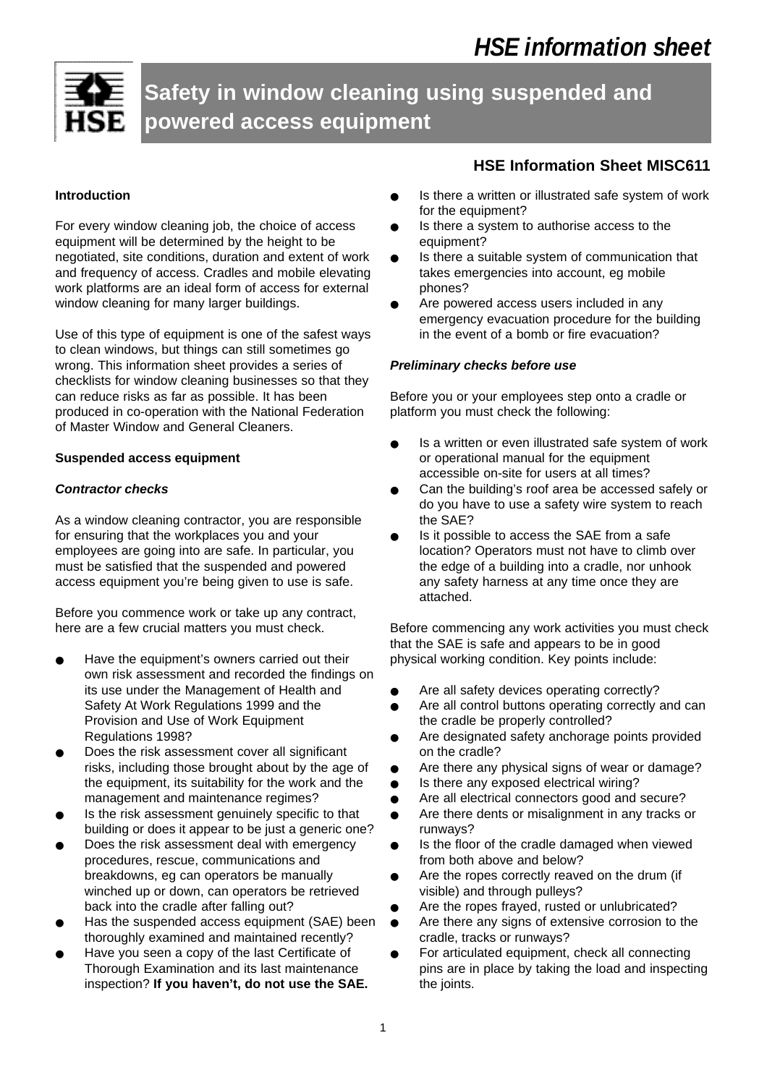

**Safety in window cleaning using suspended and powered access equipment**

### **Introduction**

For every window cleaning job, the choice of access equipment will be determined by the height to be negotiated, site conditions, duration and extent of work and frequency of access. Cradles and mobile elevating work platforms are an ideal form of access for external window cleaning for many larger buildings.

Use of this type of equipment is one of the safest ways to clean windows, but things can still sometimes go wrong. This information sheet provides a series of checklists for window cleaning businesses so that they can reduce risks as far as possible. It has been produced in co-operation with the National Federation of Master Window and General Cleaners.

#### **Suspended access equipment**

#### *Contractor checks*

As a window cleaning contractor, you are responsible for ensuring that the workplaces you and your employees are going into are safe. In particular, you must be satisfied that the suspended and powered access equipment you're being given to use is safe.

Before you commence work or take up any contract, here are a few crucial matters you must check.

- Have the equipment's owners carried out their own risk assessment and recorded the findings on its use under the Management of Health and Safety At Work Regulations 1999 and the Provision and Use of Work Equipment Regulations 1998?
- Does the risk assessment cover all significant risks, including those brought about by the age of the equipment, its suitability for the work and the management and maintenance regimes?
- Is the risk assessment genuinely specific to that building or does it appear to be just a generic one?
- Does the risk assessment deal with emergency procedures, rescue, communications and breakdowns, eg can operators be manually winched up or down, can operators be retrieved back into the cradle after falling out?
- Has the suspended access equipment (SAE) been thoroughly examined and maintained recently?
- Have you seen a copy of the last Certificate of Thorough Examination and its last maintenance inspection? **If you haven't, do not use the SAE.**

# **HSE Information Sheet MISC611**

- Is there a written or illustrated safe system of work for the equipment?
- Is there a system to authorise access to the equipment?
- Is there a suitable system of communication that takes emergencies into account, eg mobile phones?
- Are powered access users included in any emergency evacuation procedure for the building in the event of a bomb or fire evacuation?

#### *Preliminary checks before use*

Before you or your employees step onto a cradle or platform you must check the following:

- Is a written or even illustrated safe system of work or operational manual for the equipment accessible on-site for users at all times?
- Can the building's roof area be accessed safely or do you have to use a safety wire system to reach the SAE?
- Is it possible to access the SAE from a safe location? Operators must not have to climb over the edge of a building into a cradle, nor unhook any safety harness at any time once they are attached.

Before commencing any work activities you must check that the SAE is safe and appears to be in good physical working condition. Key points include:

- Are all safety devices operating correctly?
- Are all control buttons operating correctly and can the cradle be properly controlled?
- Are designated safety anchorage points provided on the cradle?
- Are there any physical signs of wear or damage?
- Is there any exposed electrical wiring?
- Are all electrical connectors good and secure?
- Are there dents or misalignment in any tracks or runways?
- Is the floor of the cradle damaged when viewed from both above and below?
- Are the ropes correctly reaved on the drum (if visible) and through pulleys?
- Are the ropes frayed, rusted or unlubricated?
- Are there any signs of extensive corrosion to the cradle, tracks or runways?
- For articulated equipment, check all connecting pins are in place by taking the load and inspecting the joints.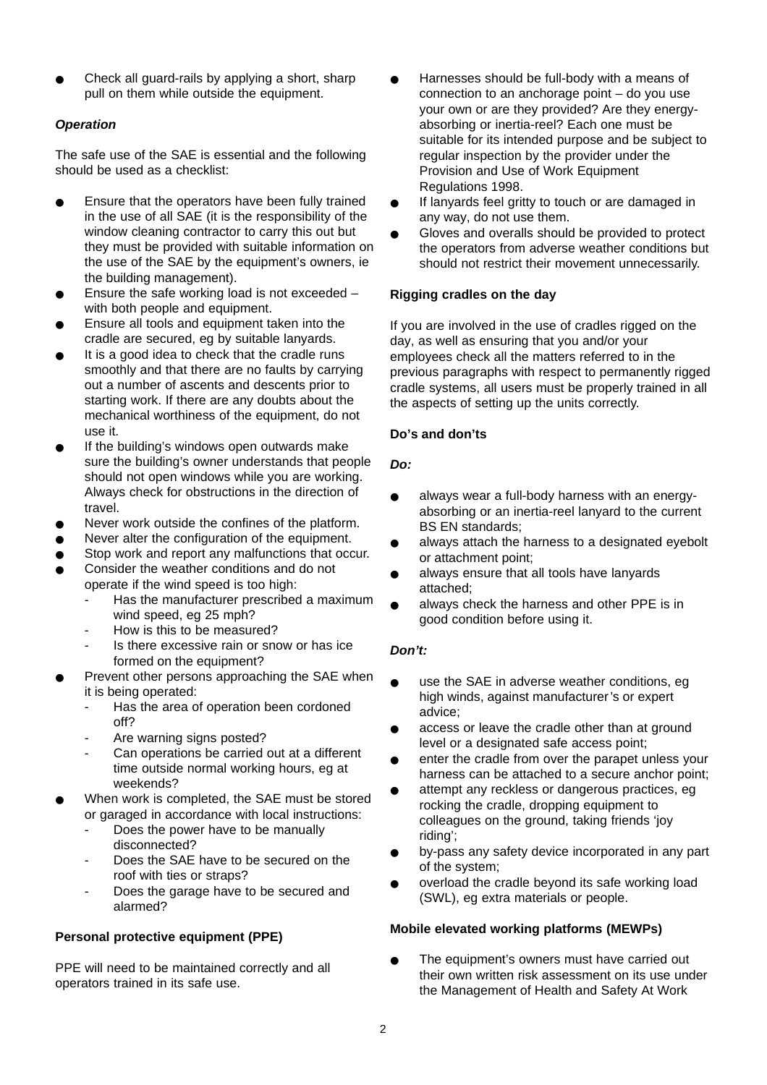Check all guard-rails by applying a short, sharp pull on them while outside the equipment.

# *Operation*

The safe use of the SAE is essential and the following should be used as a checklist:

- Ensure that the operators have been fully trained in the use of all SAE (it is the responsibility of the window cleaning contractor to carry this out but they must be provided with suitable information on the use of the SAE by the equipment's owners, ie the building management).
- Ensure the safe working load is not exceeded  $$ with both people and equipment.
- Ensure all tools and equipment taken into the cradle are secured, eg by suitable lanyards.
- It is a good idea to check that the cradle runs smoothly and that there are no faults by carrying out a number of ascents and descents prior to starting work. If there are any doubts about the mechanical worthiness of the equipment, do not use it.
- If the building's windows open outwards make sure the building's owner understands that people should not open windows while you are working. Always check for obstructions in the direction of travel.
- Never work outside the confines of the platform.
- Never alter the configuration of the equipment.
- Stop work and report any malfunctions that occur.
- Consider the weather conditions and do not operate if the wind speed is too high:
	- Has the manufacturer prescribed a maximum wind speed, eg 25 mph?
	- How is this to be measured?
	- Is there excessive rain or snow or has ice formed on the equipment?
- Prevent other persons approaching the SAE when it is being operated:
	- Has the area of operation been cordoned off?
	- Are warning signs posted?
	- Can operations be carried out at a different time outside normal working hours, eg at weekends?
- When work is completed, the SAE must be stored or garaged in accordance with local instructions:
	- Does the power have to be manually disconnected?
	- Does the SAE have to be secured on the roof with ties or straps?
	- Does the garage have to be secured and alarmed?

# **Personal protective equipment (PPE)**

PPE will need to be maintained correctly and all operators trained in its safe use.

- Harnesses should be full-body with a means of connection to an anchorage point – do you use your own or are they provided? Are they energyabsorbing or inertia-reel? Each one must be suitable for its intended purpose and be subject to regular inspection by the provider under the Provision and Use of Work Equipment Regulations 1998.
- If lanyards feel gritty to touch or are damaged in any way, do not use them.
- Gloves and overalls should be provided to protect the operators from adverse weather conditions but should not restrict their movement unnecessarily.

## **Rigging cradles on the day**

If you are involved in the use of cradles rigged on the day, as well as ensuring that you and/or your employees check all the matters referred to in the previous paragraphs with respect to permanently rigged cradle systems, all users must be properly trained in all the aspects of setting up the units correctly.

## **Do's and don'ts**

## *Do:*

- always wear a full-body harness with an energyabsorbing or an inertia-reel lanyard to the current BS EN standards;
- always attach the harness to a designated eyebolt or attachment point;
- always ensure that all tools have lanyards attached;
- always check the harness and other PPE is in good condition before using it.

# *Don't:*

- use the SAE in adverse weather conditions, eg high winds, against manufacturer's or expert advice;
- access or leave the cradle other than at ground level or a designated safe access point;
- enter the cradle from over the parapet unless your harness can be attached to a secure anchor point;
- attempt any reckless or dangerous practices, eg rocking the cradle, dropping equipment to colleagues on the ground, taking friends 'joy riding';
- by-pass any safety device incorporated in any part of the system;
- overload the cradle beyond its safe working load (SWL), eg extra materials or people.

# **Mobile elevated working platforms (MEWPs)**

The equipment's owners must have carried out their own written risk assessment on its use under the Management of Health and Safety At Work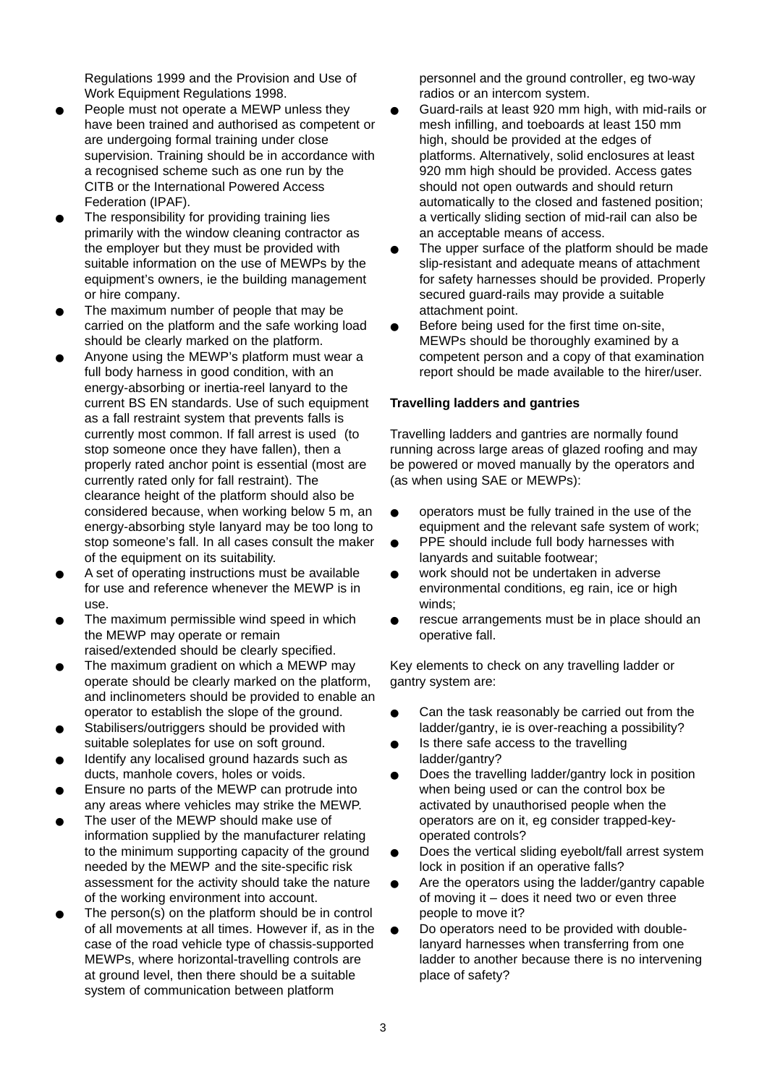Regulations 1999 and the Provision and Use of Work Equipment Regulations 1998.

- People must not operate a MEWP unless they have been trained and authorised as competent or are undergoing formal training under close supervision. Training should be in accordance with a recognised scheme such as one run by the CITB or the International Powered Access Federation (IPAF).
- The responsibility for providing training lies primarily with the window cleaning contractor as the employer but they must be provided with suitable information on the use of MEWPs by the equipment's owners, ie the building management or hire company.
- The maximum number of people that may be carried on the platform and the safe working load should be clearly marked on the platform.
- Anyone using the MEWP's platform must wear a full body harness in good condition, with an energy-absorbing or inertia-reel lanyard to the current BS EN standards. Use of such equipment as a fall restraint system that prevents falls is currently most common. If fall arrest is used (to stop someone once they have fallen), then a properly rated anchor point is essential (most are currently rated only for fall restraint). The clearance height of the platform should also be considered because, when working below 5 m, an energy-absorbing style lanyard may be too long to stop someone's fall. In all cases consult the maker of the equipment on its suitability.
- A set of operating instructions must be available for use and reference whenever the MEWP is in use.
- The maximum permissible wind speed in which the MEWP may operate or remain raised/extended should be clearly specified.
- The maximum gradient on which a MEWP may operate should be clearly marked on the platform, and inclinometers should be provided to enable an operator to establish the slope of the ground.
- Stabilisers/outriggers should be provided with suitable soleplates for use on soft ground.
- Identify any localised ground hazards such as ducts, manhole covers, holes or voids.
- Ensure no parts of the MEWP can protrude into any areas where vehicles may strike the MEWP.
- The user of the MEWP should make use of information supplied by the manufacturer relating to the minimum supporting capacity of the ground needed by the MEWP and the site-specific risk assessment for the activity should take the nature of the working environment into account.
- The person(s) on the platform should be in control of all movements at all times. However if, as in the case of the road vehicle type of chassis-supported MEWPs, where horizontal-travelling controls are at ground level, then there should be a suitable system of communication between platform

personnel and the ground controller, eg two-way radios or an intercom system.

- Guard-rails at least 920 mm high, with mid-rails or mesh infilling, and toeboards at least 150 mm high, should be provided at the edges of platforms. Alternatively, solid enclosures at least 920 mm high should be provided. Access gates should not open outwards and should return automatically to the closed and fastened position; a vertically sliding section of mid-rail can also be an acceptable means of access.
- The upper surface of the platform should be made slip-resistant and adequate means of attachment for safety harnesses should be provided. Properly secured guard-rails may provide a suitable attachment point.
- Before being used for the first time on-site, MEWPs should be thoroughly examined by a competent person and a copy of that examination report should be made available to the hirer/user.

#### **Travelling ladders and gantries**

Travelling ladders and gantries are normally found running across large areas of glazed roofing and may be powered or moved manually by the operators and (as when using SAE or MEWPs):

- operators must be fully trained in the use of the equipment and the relevant safe system of work;
- PPE should include full body harnesses with lanyards and suitable footwear;
- work should not be undertaken in adverse environmental conditions, eg rain, ice or high winds;
- rescue arrangements must be in place should an operative fall.

Key elements to check on any travelling ladder or gantry system are:

- Can the task reasonably be carried out from the ladder/gantry, ie is over-reaching a possibility?
- Is there safe access to the travelling ladder/gantry?
- Does the travelling ladder/gantry lock in position when being used or can the control box be activated by unauthorised people when the operators are on it, eg consider trapped-keyoperated controls?
- Does the vertical sliding eyebolt/fall arrest system lock in position if an operative falls?
- Are the operators using the ladder/gantry capable of moving it – does it need two or even three people to move it?
- Do operators need to be provided with doublelanyard harnesses when transferring from one ladder to another because there is no intervening place of safety?